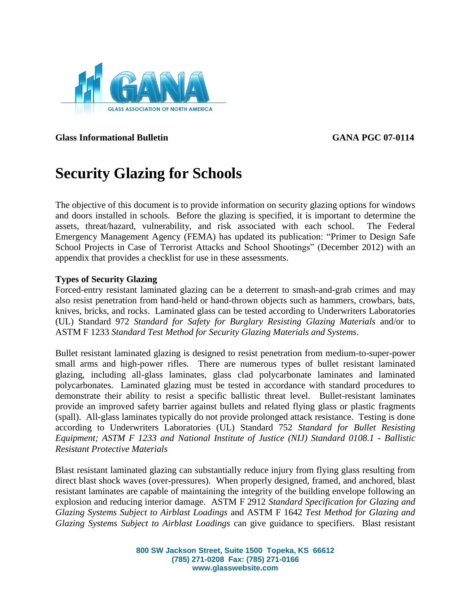

**Glass Informational Bulletin GANA PGC 07-0114**

# **Security Glazing for Schools**

The objective of this document is to provide information on security glazing options for windows and doors installed in schools. Before the glazing is specified, it is important to determine the assets, threat/hazard, vulnerability, and risk associated with each school. The Federal Emergency Management Agency (FEMA) has updated its publication: "Primer to Design Safe School Projects in Case of Terrorist Attacks and School Shootings" (December 2012) with an appendix that provides a checklist for use in these assessments.

# **Types of Security Glazing**

Forced-entry resistant laminated glazing can be a deterrent to smash-and-grab crimes and may also resist penetration from hand-held or hand-thrown objects such as hammers, crowbars, bats, knives, bricks, and rocks. Laminated glass can be tested according to Underwriters Laboratories (UL) Standard 972 *Standard for Safety for Burglary Resisting Glazing Materials* and/or to ASTM F 1233 *Standard Test Method for Security Glazing Materials and Systems*.

Bullet resistant laminated glazing is designed to resist penetration from medium-to-super-power small arms and high-power rifles. There are numerous types of bullet resistant laminated glazing, including all-glass laminates, glass clad polycarbonate laminates and laminated polycarbonates. Laminated glazing must be tested in accordance with standard procedures to demonstrate their ability to resist a specific ballistic threat level. Bullet-resistant laminates provide an improved safety barrier against bullets and related flying glass or plastic fragments (spall). All-glass laminates typically do not provide prolonged attack resistance. Testing is done according to Underwriters Laboratories (UL) Standard 752 *Standard for Bullet Resisting Equipment; ASTM F 1233 and National Institute of Justice (NIJ) Standard 0108.1 - Ballistic Resistant Protective Materials*

Blast resistant laminated glazing can substantially reduce injury from flying glass resulting from direct blast shock waves (over-pressures). When properly designed, framed, and anchored, blast resistant laminates are capable of maintaining the integrity of the building envelope following an explosion and reducing interior damage. ASTM F 2912 *Standard Specification for Glazing and Glazing Systems Subject to Airblast Loadings* and ASTM F 1642 *Test Method for Glazing and Glazing Systems Subject to Airblast Loadings* can give guidance to specifiers. Blast resistant

> **800 SW Jackson Street, Suite 1500 Topeka, KS 66612 (785) 271-0208 Fax: (785) 271-0166 www.glasswebsite.com**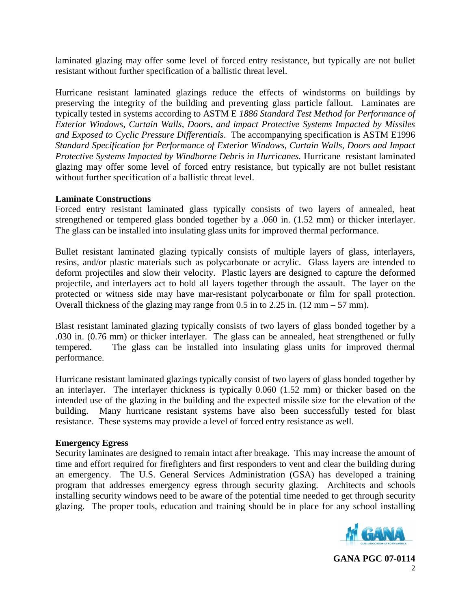laminated glazing may offer some level of forced entry resistance, but typically are not bullet resistant without further specification of a ballistic threat level.

Hurricane resistant laminated glazings reduce the effects of windstorms on buildings by preserving the integrity of the building and preventing glass particle fallout. Laminates are typically tested in systems according to ASTM E *1886 Standard Test Method for Performance of Exterior Windows, Curtain Walls, Doors, and impact Protective Systems Impacted by Missiles and Exposed to Cyclic Pressure Differentials*. The accompanying specification is ASTM E1996 *Standard Specification for Performance of Exterior Windows, Curtain Walls, Doors and Impact Protective Systems Impacted by Windborne Debris in Hurricanes.* Hurricane resistant laminated glazing may offer some level of forced entry resistance, but typically are not bullet resistant without further specification of a ballistic threat level.

## **Laminate Constructions**

Forced entry resistant laminated glass typically consists of two layers of annealed, heat strengthened or tempered glass bonded together by a .060 in. (1.52 mm) or thicker interlayer. The glass can be installed into insulating glass units for improved thermal performance.

Bullet resistant laminated glazing typically consists of multiple layers of glass, interlayers, resins, and/or plastic materials such as polycarbonate or acrylic. Glass layers are intended to deform projectiles and slow their velocity. Plastic layers are designed to capture the deformed projectile, and interlayers act to hold all layers together through the assault. The layer on the protected or witness side may have mar-resistant polycarbonate or film for spall protection. Overall thickness of the glazing may range from 0.5 in to 2.25 in. (12 mm – 57 mm).

Blast resistant laminated glazing typically consists of two layers of glass bonded together by a .030 in. (0.76 mm) or thicker interlayer. The glass can be annealed, heat strengthened or fully tempered. The glass can be installed into insulating glass units for improved thermal performance.

Hurricane resistant laminated glazings typically consist of two layers of glass bonded together by an interlayer. The interlayer thickness is typically 0.060 (1.52 mm) or thicker based on the intended use of the glazing in the building and the expected missile size for the elevation of the building. Many hurricane resistant systems have also been successfully tested for blast resistance. These systems may provide a level of forced entry resistance as well.

## **Emergency Egress**

Security laminates are designed to remain intact after breakage. This may increase the amount of time and effort required for firefighters and first responders to vent and clear the building during an emergency. The U.S. General Services Administration (GSA) has developed a training program that addresses emergency egress through security glazing. Architects and schools installing security windows need to be aware of the potential time needed to get through security glazing. The proper tools, education and training should be in place for any school installing



**GANA PGC 07-0114**